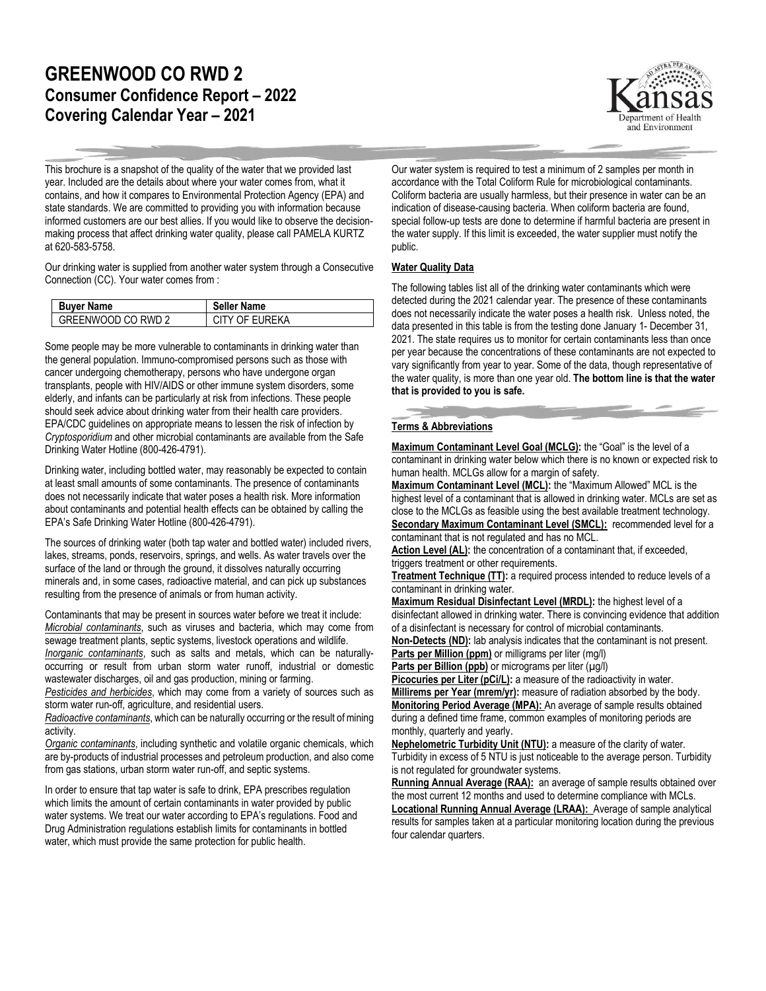## **GREENWOOD CO RWD 2 Consumer Confidence Report – 2022 Covering Calendar Year – 2021**



This brochure is a snapshot of the quality of the water that we provided last year. Included are the details about where your water comes from, what it contains, and how it compares to Environmental Protection Agency (EPA) and state standards. We are committed to providing you with information because informed customers are our best allies. If you would like to observe the decisionmaking process that affect drinking water quality, please call PAMELA KURTZ at 620-583-5758.

Our drinking water is supplied from another water system through a Consecutive Connection (CC). Your water comes from :

| <b>Buyer Name</b>  | <b>Seller Name</b> |
|--------------------|--------------------|
| GREENWOOD CO RWD 2 | CITY OF EUREKA     |

Some people may be more vulnerable to contaminants in drinking water than the general population. Immuno-compromised persons such as those with cancer undergoing chemotherapy, persons who have undergone organ transplants, people with HIV/AIDS or other immune system disorders, some elderly, and infants can be particularly at risk from infections. These people should seek advice about drinking water from their health care providers. EPA/CDC guidelines on appropriate means to lessen the risk of infection by *Cryptosporidium* and other microbial contaminants are available from the Safe Drinking Water Hotline (800-426-4791).

Drinking water, including bottled water, may reasonably be expected to contain at least small amounts of some contaminants. The presence of contaminants does not necessarily indicate that water poses a health risk. More information about contaminants and potential health effects can be obtained by calling the EPA's Safe Drinking Water Hotline (800-426-4791).

The sources of drinking water (both tap water and bottled water) included rivers, lakes, streams, ponds, reservoirs, springs, and wells. As water travels over the surface of the land or through the ground, it dissolves naturally occurring minerals and, in some cases, radioactive material, and can pick up substances resulting from the presence of animals or from human activity.

Contaminants that may be present in sources water before we treat it include: *Microbial contaminants*, such as viruses and bacteria, which may come from sewage treatment plants, septic systems, livestock operations and wildlife. *Inorganic contaminants*, such as salts and metals, which can be naturallyoccurring or result from urban storm water runoff, industrial or domestic wastewater discharges, oil and gas production, mining or farming.

*Pesticides and herbicides*, which may come from a variety of sources such as storm water run-off, agriculture, and residential users.

*Radioactive contaminants*, which can be naturally occurring or the result of mining activity.

*Organic contaminants*, including synthetic and volatile organic chemicals, which are by-products of industrial processes and petroleum production, and also come from gas stations, urban storm water run-off, and septic systems.

In order to ensure that tap water is safe to drink, EPA prescribes regulation which limits the amount of certain contaminants in water provided by public water systems. We treat our water according to EPA's regulations. Food and Drug Administration regulations establish limits for contaminants in bottled water, which must provide the same protection for public health.

Our water system is required to test a minimum of 2 samples per month in accordance with the Total Coliform Rule for microbiological contaminants. Coliform bacteria are usually harmless, but their presence in water can be an indication of disease-causing bacteria. When coliform bacteria are found, special follow-up tests are done to determine if harmful bacteria are present in the water supply. If this limit is exceeded, the water supplier must notify the public.

## **Water Quality Data**

The following tables list all of the drinking water contaminants which were detected during the 2021 calendar year. The presence of these contaminants does not necessarily indicate the water poses a health risk. Unless noted, the data presented in this table is from the testing done January 1- December 31, 2021. The state requires us to monitor for certain contaminants less than once per year because the concentrations of these contaminants are not expected to vary significantly from year to year. Some of the data, though representative of the water quality, is more than one year old. **The bottom line is that the water that is provided to you is safe.**

## **Terms & Abbreviations**

**Maximum Contaminant Level Goal (MCLG):** the "Goal" is the level of a contaminant in drinking water below which there is no known or expected risk to human health. MCLGs allow for a margin of safety.

**Maximum Contaminant Level (MCL):** the "Maximum Allowed" MCL is the highest level of a contaminant that is allowed in drinking water. MCLs are set as close to the MCLGs as feasible using the best available treatment technology. **Secondary Maximum Contaminant Level (SMCL):** recommended level for a contaminant that is not regulated and has no MCL.

Action Level (AL): the concentration of a contaminant that, if exceeded, triggers treatment or other requirements.

**Treatment Technique (TT):** a required process intended to reduce levels of a contaminant in drinking water.

**Maximum Residual Disinfectant Level (MRDL):** the highest level of a disinfectant allowed in drinking water. There is convincing evidence that addition of a disinfectant is necessary for control of microbial contaminants.

**Non-Detects (ND):** lab analysis indicates that the contaminant is not present. **Parts per Million (ppm)** or milligrams per liter (mg/l)

Parts per Billion (ppb) or micrograms per liter (µg/l)

Picocuries per Liter (pCi/L): a measure of the radioactivity in water.

**Millirems per Year (mrem/yr):** measure of radiation absorbed by the body. **Monitoring Period Average (MPA):** An average of sample results obtained during a defined time frame, common examples of monitoring periods are monthly, quarterly and yearly.

**Nephelometric Turbidity Unit (NTU):** a measure of the clarity of water. Turbidity in excess of 5 NTU is just noticeable to the average person. Turbidity is not regulated for groundwater systems.

**Running Annual Average (RAA):** an average of sample results obtained over the most current 12 months and used to determine compliance with MCLs. **Locational Running Annual Average (LRAA):** Average of sample analytical results for samples taken at a particular monitoring location during the previous four calendar quarters.